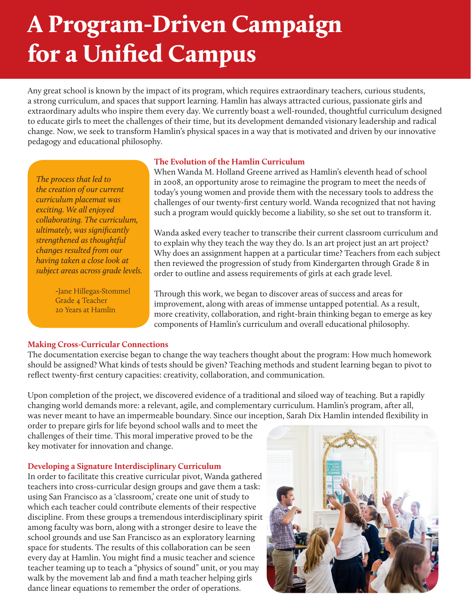# A Program-Driven Campaign for a Unified Campus

Any great school is known by the impact of its program, which requires extraordinary teachers, curious students, a strong curriculum, and spaces that support learning. Hamlin has always attracted curious, passionate girls and extraordinary adults who inspire them every day. We currently boast a well-rounded, thoughtful curriculum designed to educate girls to meet the challenges of their time, but its development demanded visionary leadership and radical change. Now, we seek to transform Hamlin's physical spaces in a way that is motivated and driven by our innovative pedagogy and educational philosophy.

*The process that led to the creation of our current curriculum placemat was exciting. We all enjoyed collaborating. The curriculum, ultimately, was significantly strengthened as thoughtful changes resulted from our having taken a close look at subject areas across grade levels.*

> *-*Jane Hillegas-Stommel Grade 4 Teacher 20 Years at Hamlin

#### **The Evolution of the Hamlin Curriculum**

When Wanda M. Holland Greene arrived as Hamlin's eleventh head of school in 2008, an opportunity arose to reimagine the program to meet the needs of today's young women and provide them with the necessary tools to address the challenges of our twenty-first century world. Wanda recognized that not having such a program would quickly become a liability, so she set out to transform it.

Wanda asked every teacher to transcribe their current classroom curriculum and to explain why they teach the way they do. Is an art project just an art project? Why does an assignment happen at a particular time? Teachers from each subject then reviewed the progression of study from Kindergarten through Grade 8 in order to outline and assess requirements of girls at each grade level.

Through this work, we began to discover areas of success and areas for improvement, along with areas of immense untapped potential. As a result, more creativity, collaboration, and right-brain thinking began to emerge as key components of Hamlin's curriculum and overall educational philosophy.

## **Making Cross-Curricular Connections**

The documentation exercise began to change the way teachers thought about the program: How much homework should be assigned? What kinds of tests should be given? Teaching methods and student learning began to pivot to reflect twenty-first century capacities: creativity, collaboration, and communication.

Upon completion of the project, we discovered evidence of a traditional and siloed way of teaching. But a rapidly changing world demands more: a relevant, agile, and complementary curriculum. Hamlin's program, after all, was never meant to have an impermeable boundary. Since our inception, Sarah Dix Hamlin intended flexibility in

order to prepare girls for life beyond school walls and to meet the challenges of their time. This moral imperative proved to be the key motivater for innovation and change.

#### **Developing a Signature Interdisciplinary Curriculum**

In order to facilitate this creative curricular pivot, Wanda gathered teachers into cross-curricular design groups and gave them a task: using San Francisco as a 'classroom,' create one unit of study to which each teacher could contribute elements of their respective discipline. From these groups a tremendous interdisciplinary spirit among faculty was born, along with a stronger desire to leave the school grounds and use San Francisco as an exploratory learning space for students. The results of this collaboration can be seen every day at Hamlin. You might find a music teacher and science teacher teaming up to teach a "physics of sound" unit, or you may walk by the movement lab and find a math teacher helping girls dance linear equations to remember the order of operations.